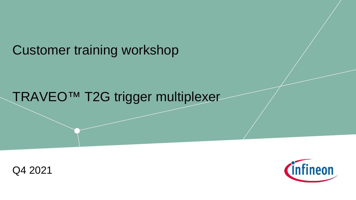Customer training workshop

## TRAVEO™ T2G trigger multiplexer



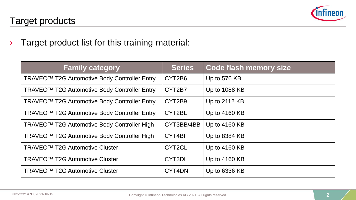

### Target products

› Target product list for this training material:

| <b>Family category</b>                                   | <b>Series</b> | <b>Code flash memory size</b> |
|----------------------------------------------------------|---------------|-------------------------------|
| TRAVEO <sup>™</sup> T2G Automotive Body Controller Entry | CYT2B6        | Up to 576 KB                  |
| TRAVEO <sup>™</sup> T2G Automotive Body Controller Entry | CYT2B7        | Up to 1088 KB                 |
| TRAVEO <sup>™</sup> T2G Automotive Body Controller Entry | CYT2B9        | Up to 2112 KB                 |
| TRAVEO <sup>™</sup> T2G Automotive Body Controller Entry | CYT2BL        | Up to 4160 KB                 |
| TRAVEO <sup>™</sup> T2G Automotive Body Controller High  | CYT3BB/4BB    | Up to 4160 KB                 |
| TRAVEO <sup>™</sup> T2G Automotive Body Controller High  | CYT4BF        | Up to 8384 KB                 |
| TRAVEO <sup>™</sup> T2G Automotive Cluster               | CYT2CL        | Up to 4160 KB                 |
| TRAVEO <sup>™</sup> T2G Automotive Cluster               | CYT3DL        | Up to 4160 KB                 |
| TRAVEO <sup>™</sup> T2G Automotive Cluster               | CYT4DN        | Up to 6336 KB                 |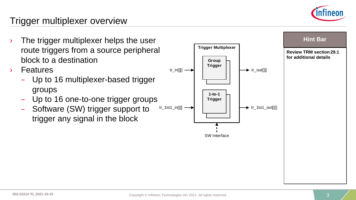

### Trigger multiplexer overview

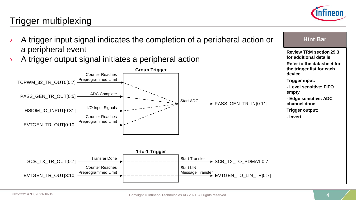

## Trigger multiplexing

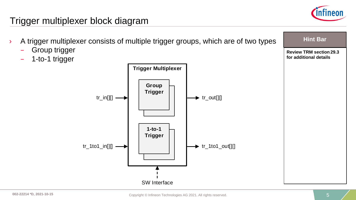

## Trigger multiplexer block diagram

- › A trigger multiplexer consists of multiple trigger groups, which are of two types
	- Group trigger
	- 1-to-1 trigger



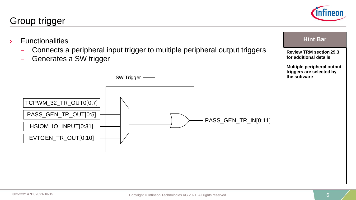

– Connects a peripheral input trigger to multiple peripheral output triggers



Generates a SW trigger

› Functionalities



**Review TRM section 29.3 for additional details**

**Hint Bar** 

**Multiple peripheral output triggers are selected by** 

**the software**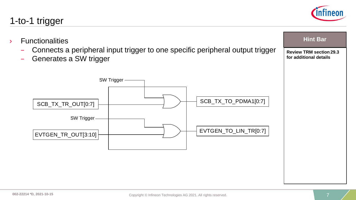## 1-to-1 trigger

- › Functionalities
	- Connects a peripheral input trigger to one specific peripheral output trigger
	- Generates a SW trigger



**Hint Bar** 

**Review TRM section 29.3 for additional details**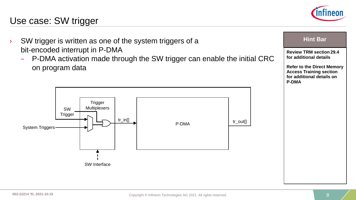## Use case: SW trigger

- › SW trigger is written as one of the system triggers of a bit-encoded interrupt in P-DMA
	- P-DMA activation made through the SW trigger can enable the initial CRC on program data





**Hint Bar** 

| l⊟Hit Dal                                                                                                        |
|------------------------------------------------------------------------------------------------------------------|
| <b>Review TRM section 29.4</b><br>for additional details                                                         |
| <b>Refer to the Direct Memory</b><br><b>Access Training section</b><br>for additional details on<br><b>P-DMA</b> |
|                                                                                                                  |
|                                                                                                                  |
|                                                                                                                  |
|                                                                                                                  |
|                                                                                                                  |
|                                                                                                                  |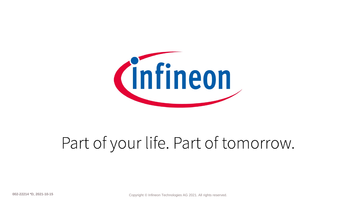

# Part of your life. Part of tomorrow.

**002-22214 \*D, 2021-10-15** Copyright © Infineon Technologies AG 2021. All rights reserved.